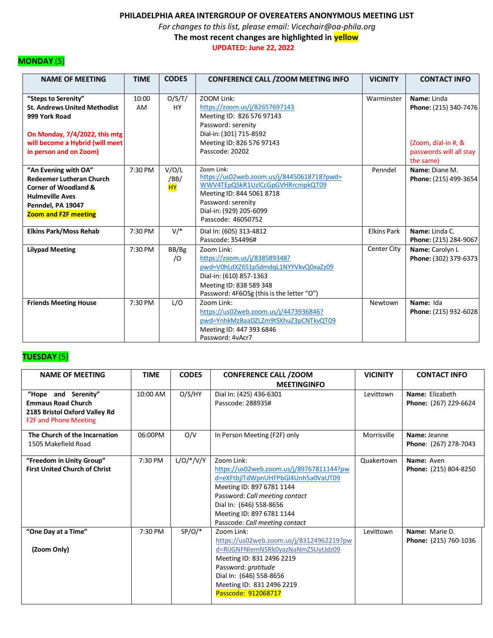*For changes to this list, please email: Vicechair@oa-phila.org*

 **The most recent changes are highlighted in yellow**

 **UPDATED: June 22, 2022**

## **MONDAY** (5)

| <b>NAME OF MEETING</b>                                                                                                                                                    | <b>TIME</b>        | <b>CODES</b>                     | <b>CONFERENCE CALL / ZOOM MEETING INFO</b>                                                                                                                                                       | <b>VICINITY</b>    | <b>CONTACT INFO</b>                                                                                 |
|---------------------------------------------------------------------------------------------------------------------------------------------------------------------------|--------------------|----------------------------------|--------------------------------------------------------------------------------------------------------------------------------------------------------------------------------------------------|--------------------|-----------------------------------------------------------------------------------------------------|
| "Steps to Serenity"<br><b>St. Andrews United Methodist</b><br>999 York Road<br>On Monday, 7/4/2022, this mtg<br>will become a Hybrid (will meet<br>in person and on Zoom) | 10:00<br><b>AM</b> | O/S/T/<br><b>HY</b>              | ZOOM Link:<br>https://zoom.us/j/82657697143<br>Meeting ID: 826 576 97143<br>Password: serenity<br>Dial-in: (301) 715-8592<br>Meeting ID: 826 576 97143<br>Passcode: 20202                        | Warminster         | Name: Linda<br>Phone: (215) 340-7476<br>(Zoom, dial-in #, &<br>passwords will all stay<br>the same) |
| "An Evening with OA"<br><b>Redeemer Lutheran Church</b><br><b>Corner of Woodland &amp;</b><br><b>Hulmeville Aves</b><br>Penndel, PA 19047<br><b>Zoom and F2F meeting</b>  | 7:30 PM            | V/O/L<br>/BB/<br><mark>ΗY</mark> | Zoom Link:<br>https://us02web.zoom.us/j/84450618718?pwd=<br>WWV4TEpQSkR1UzICcGpGVHRrcmpkQT09<br>Meeting ID: 844 5061 8718<br>Password: serenity<br>Dial-in: (929) 205-6099<br>Passcode: 46050752 | Penndel            | Name: Diane M.<br>Phone: (215) 499-3654                                                             |
| <b>Elkins Park/Moss Rehab</b>                                                                                                                                             | 7:30 PM            | $V/*$                            | Dial In: (605) 313-4812<br>Passcode: 354496#                                                                                                                                                     | <b>Elkins Park</b> | Name: Linda C.<br>Phone: (215) 284-9067                                                             |
| <b>Lilypad Meeting</b>                                                                                                                                                    | 7:30 PM            | BB/Bg<br>$\sqrt{O}$              | Zoom Link:<br>https://zoom.us/j/838589348?<br>pwd=V0hLdXZ6S1pSdmdqL1NYYVkvQ0xaZz09<br>Dial-in: (610) 857-1363<br>Meeting ID: 838 589 348<br>Password: 4F6OSg (this is the letter "O")            | Center City        | Name: Carolyn L<br>Phone: (302) 379-6373                                                            |
| <b>Friends Meeting House</b>                                                                                                                                              | 7:30 PM            | L/O                              | Zoom Link:<br>https://us02web.zoom.us/j/4473936846?<br>pwd=YnhkMzBaaDZLZm9tSXhuZ3pCNTkvQT09<br>Meeting ID: 447 393 6846<br>Password: 4vAcr7                                                      | Newtown            | Name: Ida<br>Phone: (215) 932-6028                                                                  |

# **TUESDAY** (5)

| <b>NAME OF MEETING</b>                                                                                            | <b>TIME</b> | <b>CODES</b> | <b>CONFERENCE CALL /ZOOM</b>                                                                                                                                                                                                                          | <b>VICINITY</b> | <b>CONTACT INFO</b>                      |
|-------------------------------------------------------------------------------------------------------------------|-------------|--------------|-------------------------------------------------------------------------------------------------------------------------------------------------------------------------------------------------------------------------------------------------------|-----------------|------------------------------------------|
|                                                                                                                   |             |              | <b>MEETINGINFO</b>                                                                                                                                                                                                                                    |                 |                                          |
| "Hope and Serenity"<br><b>Emmaus Road Church</b><br>2185 Bristol Oxford Valley Rd<br><b>F2F and Phone Meeting</b> | 10:00 AM    | O/S/HY       | Dial In: (425) 436-6301<br>Passcode: 288935#                                                                                                                                                                                                          | Levittown       | Name: Elizabeth<br>Phone: (267) 229-6624 |
| The Church of the Incarnation<br>1505 Makefield Road                                                              | 06:00PM     | O/V          | In Person Meeting (F2F) only                                                                                                                                                                                                                          | Morrisville     | Name: Jeanne<br>Phone: (267) 278-7043    |
| "Freedom in Unity Group"<br><b>First United Church of Christ</b>                                                  | 7:30 PM     | $L/O/*/V/Y$  | Zoom Link:<br>https://us02web.zoom.us/j/89767811144?pw<br>d=eXFtbjlTdWpnUHFPbGl4Unh5a0VaUT09<br>Meeting ID: 897 6781 1144<br>Password: Call meeting contact<br>Dial In: (646) 558-8656<br>Meeting ID: 897 6781 1144<br>Passcode: Call meeting contact | Quakertown      | Name: Aven<br>Phone: (215) 804-8250      |
| "One Day at a Time"<br>(Zoom Only)                                                                                | 7:30 PM     | $SP/O/*$     | Zoom Link:<br>https://us02web.zoom.us/j/83124962219?pw<br>d=RIJGNFNlemN5Rk0yazNaNmZSUytJdz09<br>Meeting ID: 831 2496 2219<br>Password: gratitude<br>Dial In: (646) 558-8656<br>Meeting ID: 831 2496 2219<br>Passcode: 912068717                       | Levittown       | Name: Marie D.<br>Phone: (215) 760-1036  |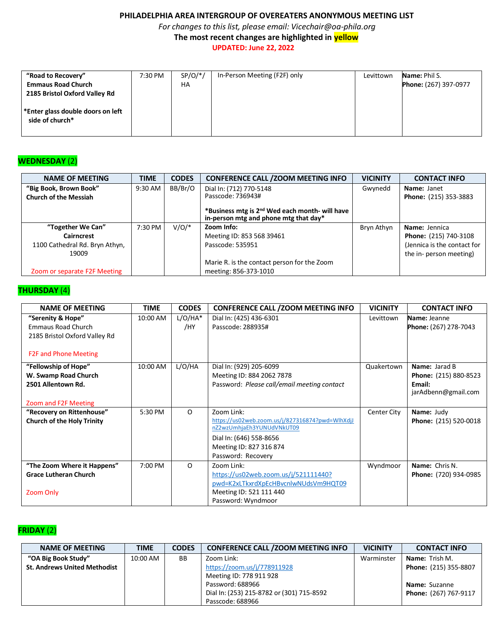*For changes to this list, please email: Vicechair@oa-phila.org*

 **The most recent changes are highlighted in yellow**

 **UPDATED: June 22, 2022**

| "Road to Recovery"<br><b>Emmaus Road Church</b><br>2185 Bristol Oxford Valley Rd | 7:30 PM | $SP/O/*/$<br>HA | In-Person Meeting (F2F) only | Levittown | <b>Name: Phil S.</b><br>Phone: (267) 397-0977 |
|----------------------------------------------------------------------------------|---------|-----------------|------------------------------|-----------|-----------------------------------------------|
| *Enter glass double doors on left<br>side of church*                             |         |                 |                              |           |                                               |

### **WEDNESDAY** (2)

| <b>NAME OF MEETING</b>         | <b>TIME</b> | <b>CODES</b> | <b>CONFERENCE CALL / ZOOM MEETING INFO</b>                                                          | <b>VICINITY</b> | <b>CONTACT INFO</b>         |
|--------------------------------|-------------|--------------|-----------------------------------------------------------------------------------------------------|-----------------|-----------------------------|
| "Big Book, Brown Book"         | 9:30 AM     | BB/Br/O      | Dial In: (712) 770-5148                                                                             | Gwynedd         | Name: Janet                 |
| <b>Church of the Messiah</b>   |             |              | Passcode: 736943#                                                                                   |                 | Phone: (215) 353-3883       |
|                                |             |              | *Business mtg is 2 <sup>nd</sup> Wed each month- will have<br>in-person mtg and phone mtg that day* |                 |                             |
| "Together We Can"              | $7:30$ PM   | $V/O/*$      | Zoom Info:                                                                                          | Bryn Athyn      | Name: Jennica               |
| <b>Cairncrest</b>              |             |              | Meeting ID: 853 568 39461                                                                           |                 | Phone: (215) 740-3108       |
| 1100 Cathedral Rd. Bryn Athyn, |             |              | Passcode: 535951                                                                                    |                 | (Jennica is the contact for |
| 19009                          |             |              |                                                                                                     |                 | the in- person meeting)     |
|                                |             |              | Marie R. is the contact person for the Zoom                                                         |                 |                             |
| Zoom or separate F2F Meeting   |             |              | meeting: 856-373-1010                                                                               |                 |                             |

### **THURSDAY** (4)

| <b>NAME OF MEETING</b>            | <b>TIME</b> | <b>CODES</b> | <b>CONFERENCE CALL / ZOOM MEETING INFO</b>      | <b>VICINITY</b> | <b>CONTACT INFO</b>          |
|-----------------------------------|-------------|--------------|-------------------------------------------------|-----------------|------------------------------|
| "Serenity & Hope"                 | 10:00 AM    | $L/O/HA*$    | Dial In: (425) 436-6301                         | Levittown       | Name: Jeanne                 |
| Emmaus Road Church                |             | /HY          | Passcode: 288935#                               |                 | Phone: (267) 278-7043        |
| 2185 Bristol Oxford Valley Rd     |             |              |                                                 |                 |                              |
|                                   |             |              |                                                 |                 |                              |
| <b>F2F and Phone Meeting</b>      |             |              |                                                 |                 |                              |
| "Fellowship of Hope"              | 10:00 AM    | L/O/HA       | Dial In: (929) 205-6099                         | Quakertown      | Name: Jarad B                |
| W. Swamp Road Church              |             |              | Meeting ID: 884 2062 7878                       |                 | <b>Phone:</b> (215) 880-8523 |
| 2501 Allentown Rd.                |             |              | Password: Please call/email meeting contact     |                 | Email:                       |
|                                   |             |              |                                                 |                 | jarAdbenn@gmail.com          |
| Zoom and F2F Meeting              |             |              |                                                 |                 |                              |
| "Recovery on Rittenhouse"         | 5:30 PM     | $\Omega$     | Zoom Link:                                      | Center City     | Name: Judy                   |
| <b>Church of the Holy Trinity</b> |             |              | https://us02web.zoom.us/j/827316874?pwd=WlhXdjJ |                 | Phone: (215) 520-0018        |
|                                   |             |              | nZ2wzUmhjaEh3YUNUdVNkUT09                       |                 |                              |
|                                   |             |              | Dial In: (646) 558-8656                         |                 |                              |
|                                   |             |              | Meeting ID: 827 316 874                         |                 |                              |
|                                   |             |              | Password: Recovery                              |                 |                              |
| "The Zoom Where it Happens"       | 7:00 PM     | $\Omega$     | Zoom Link:                                      | Wyndmoor        | Name: Chris N.               |
| <b>Grace Lutheran Church</b>      |             |              | https://us02web.zoom.us/j/521111440?            |                 | Phone: (720) 934-0985        |
|                                   |             |              | pwd=K2xLTkxrdXpEcHBvcnlwNUdsVm9HQT09            |                 |                              |
| Zoom Only                         |             |              | Meeting ID: 521 111 440                         |                 |                              |
|                                   |             |              | Password: Wyndmoor                              |                 |                              |

# **FRIDAY** (2)

| <b>NAME OF MEETING</b>              | <b>TIME</b> | <b>CODES</b> | <b>CONFERENCE CALL / ZOOM MEETING INFO</b> | <b>VICINITY</b> | <b>CONTACT INFO</b>   |
|-------------------------------------|-------------|--------------|--------------------------------------------|-----------------|-----------------------|
| "OA Big Book Study"                 | $10:00$ AM  | BB           | Zoom Link:                                 | Warminster      | <b>Name:</b> Trish M. |
| <b>St. Andrews United Methodist</b> |             |              | https://zoom.us/j/778911928                |                 | Phone: (215) 355-8807 |
|                                     |             |              | Meeting ID: 778 911 928                    |                 |                       |
|                                     |             |              | Password: 688966                           |                 | Name: Suzanne         |
|                                     |             |              | Dial In: (253) 215-8782 or (301) 715-8592  |                 | Phone: (267) 767-9117 |
|                                     |             |              | Passcode: 688966                           |                 |                       |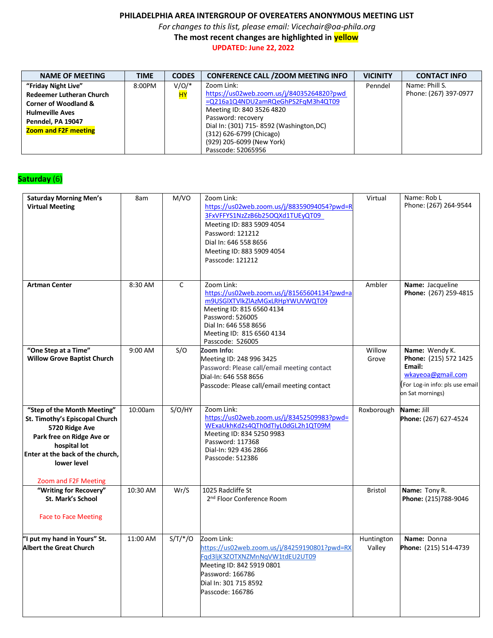*For changes to this list, please email: Vicechair@oa-phila.org*

 **The most recent changes are highlighted in yellow**

 **UPDATED: June 22, 2022**

| <b>NAME OF MEETING</b>          | <b>TIME</b> | <b>CODES</b>    | <b>CONFERENCE CALL / ZOOM MEETING INFO</b>      | <b>VICINITY</b> | <b>CONTACT INFO</b>   |
|---------------------------------|-------------|-----------------|-------------------------------------------------|-----------------|-----------------------|
| "Friday Night Live"             | 8:00PM      | $V/O/*$         | Zoom Link:                                      | Penndel         | Name: Phill S.        |
| <b>Redeemer Lutheran Church</b> |             | <mark>HY</mark> | https://us02web.zoom.us/j/84035264820?pwd       |                 | Phone: (267) 397-0977 |
| <b>Corner of Woodland &amp;</b> |             |                 | =Q216a1Q4NDU2amRQeGhPS2FqM3h4QT09               |                 |                       |
| <b>Hulmeville Aves</b>          |             |                 | Meeting ID: 840 3526 4820<br>Password: recovery |                 |                       |
| Penndel, PA 19047               |             |                 | Dial In: (301) 715-8592 (Washington, DC)        |                 |                       |
| <b>Zoom and F2F meeting</b>     |             |                 | (312) 626-6799 (Chicago)                        |                 |                       |
|                                 |             |                 | (929) 205-6099 (New York)                       |                 |                       |
|                                 |             |                 | Passcode: 52065956                              |                 |                       |

### **Saturday** (6)

| <b>Saturday Morning Men's</b><br><b>Virtual Meeting</b>                                                                                                                                                 | 8am      | M/VO         | Zoom Link:<br>https://us02web.zoom.us/j/88359094054?pwd=R<br>3FxVFFYS1NzZzB6b25OQXd1TUEyQT09<br>Meeting ID: 883 5909 4054<br>Password: 121212<br>Dial In: 646 558 8656<br>Meeting ID: 883 5909 4054<br>Passcode: 121212 | Virtual              | Name: Rob L<br>Phone: (267) 264-9544                                                                                         |
|---------------------------------------------------------------------------------------------------------------------------------------------------------------------------------------------------------|----------|--------------|-------------------------------------------------------------------------------------------------------------------------------------------------------------------------------------------------------------------------|----------------------|------------------------------------------------------------------------------------------------------------------------------|
| <b>Artman Center</b>                                                                                                                                                                                    | 8:30 AM  | $\mathsf{C}$ | Zoom Link:<br>https://us02web.zoom.us/j/81565604134?pwd=a<br>m9USGIXTVlkZlAzMGxLRHpYWUVWQT09<br>Meeting ID: 815 6560 4134<br>Password: 526005<br>Dial In: 646 558 8656<br>Meeting ID: 815 6560 4134<br>Passcode: 526005 | Ambler               | Name: Jacqueline<br>Phone: (267) 259-4815                                                                                    |
| "One Step at a Time"<br><b>Willow Grove Baptist Church</b>                                                                                                                                              | 9:00 AM  | S/O          | Zoom Info:<br>Meeting ID: 248 996 3425<br>Password: Please call/email meeting contact<br>Dial-In: 646 558 8656<br>Passcode: Please call/email meeting contact                                                           | Willow<br>Grove      | Name: Wendy K.<br>Phone: (215) 572 1425<br>Email:<br>wkayeoa@gmail.com<br>For Log-in info: pls use email<br>on Sat mornings) |
| "Step of the Month Meeting"<br>St. Timothy's Episcopal Church<br>5720 Ridge Ave<br>Park free on Ridge Ave or<br>hospital lot<br>Enter at the back of the church,<br>lower level<br>Zoom and F2F Meeting | 10:00am  | S/O/HY       | Zoom Link:<br>https://us02web.zoom.us/j/83452509983?pwd=<br>WExaUkhKd2s4QTh0dTIyL0dGL2h1QT09M<br>Meeting ID: 834 5250 9983<br>Password: 117368<br>Dial-In: 929 436 2866<br>Passcode: 512386                             | Roxborough           | Name: Jill<br>Phone: (267) 627-4524                                                                                          |
| "Writing for Recovery"<br>St. Mark's School<br><b>Face to Face Meeting</b>                                                                                                                              | 10:30 AM | Wr/S         | 1025 Radcliffe St<br>2 <sup>nd</sup> Floor Conference Room                                                                                                                                                              | <b>Bristol</b>       | Name: Tony R.<br>Phone: (215)788-9046                                                                                        |
| "I put my hand in Yours" St.<br><b>Albert the Great Church</b>                                                                                                                                          | 11:00 AM | $S/T/*/O$    | Zoom Link:<br>https://us02web.zoom.us/j/84259190801?pwd=RX<br>Fgd3ljK3ZOTXNZMnNqVW1tdEU2UT09<br>Meeting ID: 842 5919 0801<br>Password: 166786<br>Dial In: 301 715 8592<br>Passcode: 166786                              | Huntington<br>Valley | Name: Donna<br>Phone: (215) 514-4739                                                                                         |